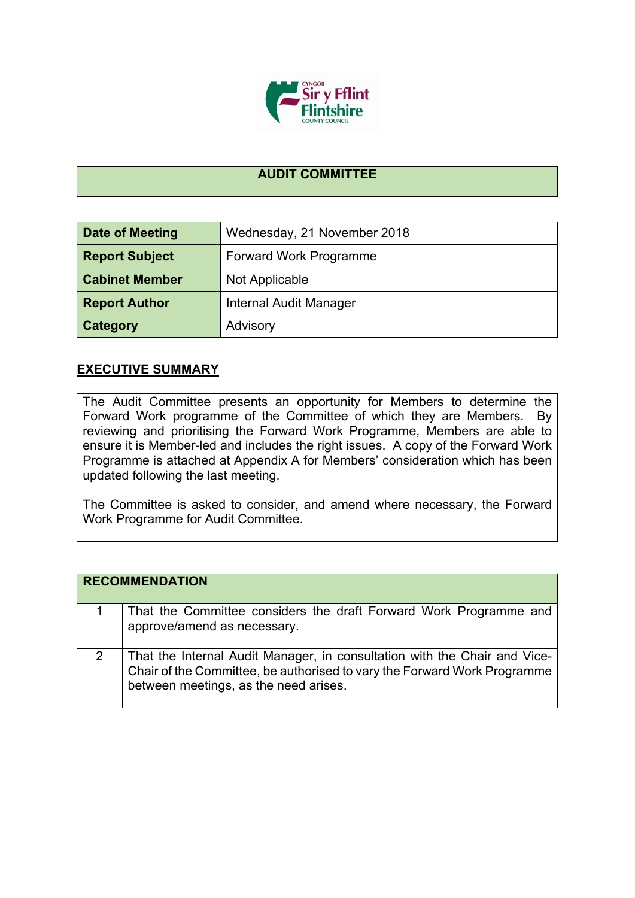

## **AUDIT COMMITTEE**

| <b>Date of Meeting</b> | Wednesday, 21 November 2018 |
|------------------------|-----------------------------|
| <b>Report Subject</b>  | Forward Work Programme      |
| <b>Cabinet Member</b>  | Not Applicable              |
| <b>Report Author</b>   | Internal Audit Manager      |
| Category               | Advisory                    |

## **EXECUTIVE SUMMARY**

The Audit Committee presents an opportunity for Members to determine the Forward Work programme of the Committee of which they are Members. By reviewing and prioritising the Forward Work Programme, Members are able to ensure it is Member-led and includes the right issues. A copy of the Forward Work Programme is attached at Appendix A for Members' consideration which has been updated following the last meeting.

The Committee is asked to consider, and amend where necessary, the Forward Work Programme for Audit Committee.

|   | <b>RECOMMENDATION</b>                                                                                                                                                                          |
|---|------------------------------------------------------------------------------------------------------------------------------------------------------------------------------------------------|
|   | That the Committee considers the draft Forward Work Programme and<br>approve/amend as necessary.                                                                                               |
| 2 | That the Internal Audit Manager, in consultation with the Chair and Vice-<br>Chair of the Committee, be authorised to vary the Forward Work Programme<br>between meetings, as the need arises. |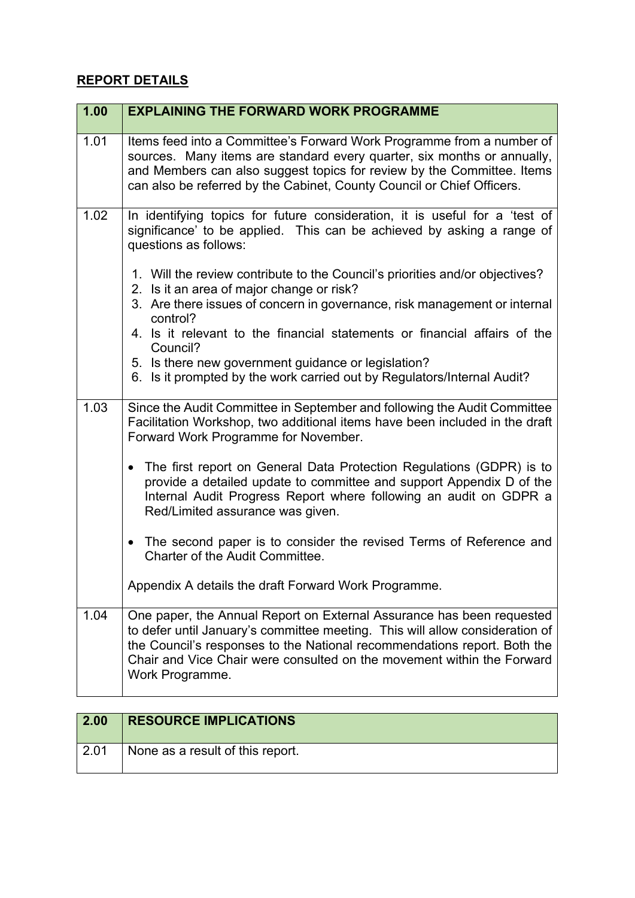## **REPORT DETAILS**

| 1.00 | <b>EXPLAINING THE FORWARD WORK PROGRAMME</b>                                                                                                                                                                                                                                                                                   |
|------|--------------------------------------------------------------------------------------------------------------------------------------------------------------------------------------------------------------------------------------------------------------------------------------------------------------------------------|
| 1.01 | Items feed into a Committee's Forward Work Programme from a number of<br>sources. Many items are standard every quarter, six months or annually,<br>and Members can also suggest topics for review by the Committee. Items<br>can also be referred by the Cabinet, County Council or Chief Officers.                           |
| 1.02 | In identifying topics for future consideration, it is useful for a 'test of<br>significance' to be applied. This can be achieved by asking a range of<br>questions as follows:                                                                                                                                                 |
|      | 1. Will the review contribute to the Council's priorities and/or objectives?<br>2. Is it an area of major change or risk?                                                                                                                                                                                                      |
|      | 3. Are there issues of concern in governance, risk management or internal<br>control?                                                                                                                                                                                                                                          |
|      | 4. Is it relevant to the financial statements or financial affairs of the<br>Council?                                                                                                                                                                                                                                          |
|      | 5. Is there new government guidance or legislation?<br>6. Is it prompted by the work carried out by Regulators/Internal Audit?                                                                                                                                                                                                 |
| 1.03 | Since the Audit Committee in September and following the Audit Committee<br>Facilitation Workshop, two additional items have been included in the draft<br>Forward Work Programme for November.                                                                                                                                |
|      | The first report on General Data Protection Regulations (GDPR) is to<br>$\bullet$<br>provide a detailed update to committee and support Appendix D of the<br>Internal Audit Progress Report where following an audit on GDPR a<br>Red/Limited assurance was given.                                                             |
|      | The second paper is to consider the revised Terms of Reference and<br>$\bullet$<br>Charter of the Audit Committee.                                                                                                                                                                                                             |
|      | Appendix A details the draft Forward Work Programme.                                                                                                                                                                                                                                                                           |
| 1.04 | One paper, the Annual Report on External Assurance has been requested<br>to defer until January's committee meeting. This will allow consideration of<br>the Council's responses to the National recommendations report. Both the<br>Chair and Vice Chair were consulted on the movement within the Forward<br>Work Programme. |

| 2.00 | <b>RESOURCE IMPLICATIONS</b>     |
|------|----------------------------------|
| 2.01 | None as a result of this report. |